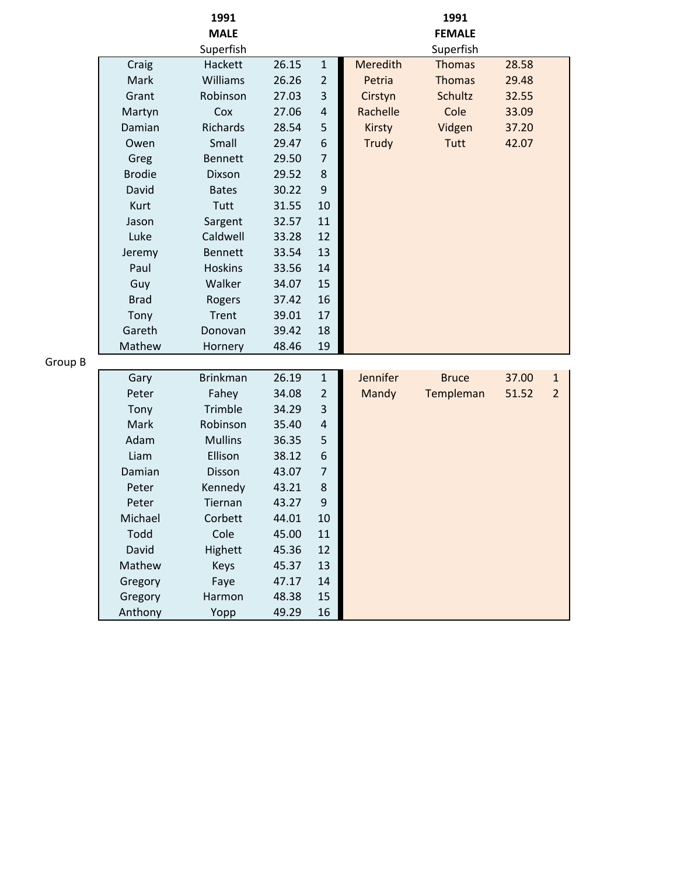|         |               | 1991            |       |                |              | 1991          |       |                |
|---------|---------------|-----------------|-------|----------------|--------------|---------------|-------|----------------|
|         |               | <b>MALE</b>     |       |                |              | <b>FEMALE</b> |       |                |
|         |               | Superfish       |       |                |              | Superfish     |       |                |
|         | Craig         | Hackett         | 26.15 | $\mathbf 1$    | Meredith     | <b>Thomas</b> | 28.58 |                |
|         | Mark          | Williams        | 26.26 | $\overline{2}$ | Petria       | <b>Thomas</b> | 29.48 |                |
|         | Grant         | Robinson        | 27.03 | 3              | Cirstyn      | Schultz       | 32.55 |                |
|         | Martyn        | Cox             | 27.06 | $\overline{4}$ | Rachelle     | Cole          | 33.09 |                |
|         | Damian        | Richards        | 28.54 | 5              | Kirsty       | Vidgen        | 37.20 |                |
|         | Owen          | Small           | 29.47 | 6              | <b>Trudy</b> | Tutt          | 42.07 |                |
|         | Greg          | <b>Bennett</b>  | 29.50 | $\overline{7}$ |              |               |       |                |
|         | <b>Brodie</b> | <b>Dixson</b>   | 29.52 | 8              |              |               |       |                |
|         | David         | <b>Bates</b>    | 30.22 | 9              |              |               |       |                |
|         | Kurt          | Tutt            | 31.55 | 10             |              |               |       |                |
|         | Jason         | Sargent         | 32.57 | 11             |              |               |       |                |
|         | Luke          | Caldwell        | 33.28 | 12             |              |               |       |                |
|         | Jeremy        | <b>Bennett</b>  | 33.54 | 13             |              |               |       |                |
|         | Paul          | <b>Hoskins</b>  | 33.56 | 14             |              |               |       |                |
|         | Guy           | Walker          | 34.07 | 15             |              |               |       |                |
|         | <b>Brad</b>   | Rogers          | 37.42 | 16             |              |               |       |                |
|         | Tony          | Trent           | 39.01 | 17             |              |               |       |                |
|         | Gareth        | Donovan         | 39.42 | 18             |              |               |       |                |
|         | Mathew        | Hornery         | 48.46 | 19             |              |               |       |                |
| Group B |               |                 |       |                |              |               |       |                |
|         | Gary          | <b>Brinkman</b> | 26.19 | $1\,$          | Jennifer     | <b>Bruce</b>  | 37.00 | $\mathbf{1}$   |
|         | Peter         | Fahey           | 34.08 | $\overline{2}$ | Mandy        | Templeman     | 51.52 | $\overline{2}$ |
|         | Tony          | Trimble         | 34.29 | 3              |              |               |       |                |
|         | Mark          | Robinson        | 35.40 | $\overline{a}$ |              |               |       |                |
|         | Adam          | <b>Mullins</b>  | 36.35 | 5              |              |               |       |                |
|         | Liam          | Ellison         | 38.12 | 6              |              |               |       |                |
|         | Damian        | Disson          | 43.07 | 7              |              |               |       |                |
|         | Peter         | Kennedy         | 43.21 | 8              |              |               |       |                |
|         | Peter         | Tiernan         | 43.27 | 9              |              |               |       |                |
|         | Michael       | Corbett         | 44.01 | 10             |              |               |       |                |
|         | Todd          | Cole            | 45.00 | 11             |              |               |       |                |
|         | David         | Highett         | 45.36 | 12             |              |               |       |                |
|         | Mathew        | Keys            | 45.37 | 13             |              |               |       |                |
|         | Gregory       | Faye            | 47.17 | 14             |              |               |       |                |
|         | Gregory       | Harmon          | 48.38 | 15             |              |               |       |                |
|         | Anthony       | Yopp            | 49.29 | 16             |              |               |       |                |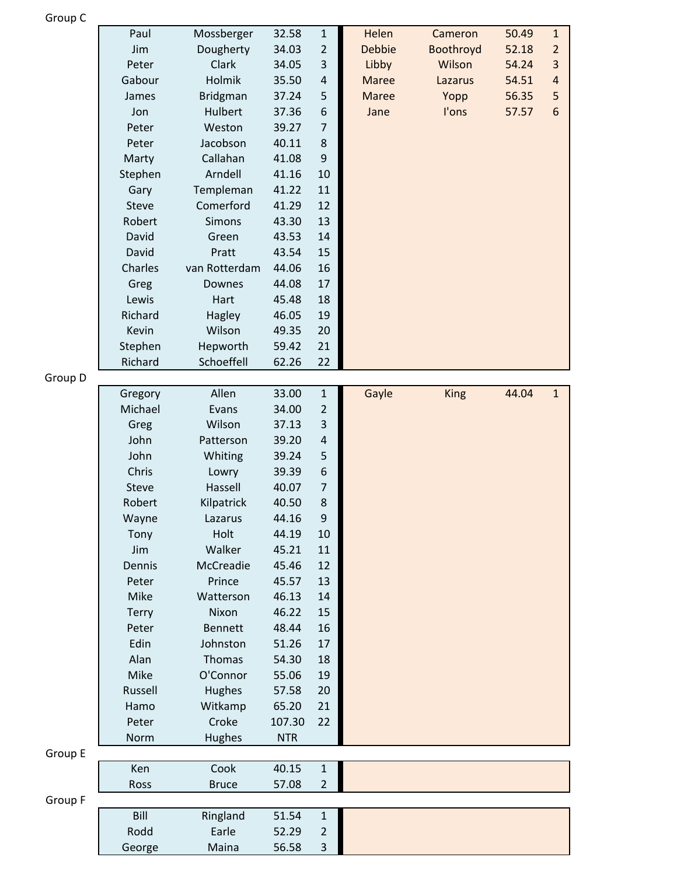| Group |  |
|-------|--|
|-------|--|

|         | Paul         | Mossberger      | 32.58      | $\mathbf 1$    | Helen         | Cameron     | 50.49 | $\,1\,$          |
|---------|--------------|-----------------|------------|----------------|---------------|-------------|-------|------------------|
|         | Jim          | Dougherty       | 34.03      | $\overline{2}$ | <b>Debbie</b> | Boothroyd   | 52.18 | $\overline{2}$   |
|         | Peter        | Clark           | 34.05      | 3              | Libby         | Wilson      | 54.24 | $\overline{3}$   |
|         | Gabour       | Holmik          | 35.50      | 4              | <b>Maree</b>  | Lazarus     | 54.51 | $\overline{a}$   |
|         | James        | <b>Bridgman</b> | 37.24      | 5              | <b>Maree</b>  | Yopp        | 56.35 | 5                |
|         | Jon          | Hulbert         | 37.36      | 6              | Jane          | l'ons       | 57.57 | $\boldsymbol{6}$ |
|         | Peter        | Weston          | 39.27      | 7              |               |             |       |                  |
|         | Peter        | Jacobson        | 40.11      | 8              |               |             |       |                  |
|         | Marty        | Callahan        | 41.08      | 9              |               |             |       |                  |
|         | Stephen      | Arndell         | 41.16      | 10             |               |             |       |                  |
|         | Gary         | Templeman       | 41.22      | 11             |               |             |       |                  |
|         | <b>Steve</b> | Comerford       | 41.29      | 12             |               |             |       |                  |
|         | Robert       | Simons          | 43.30      | 13             |               |             |       |                  |
|         | David        | Green           | 43.53      | 14             |               |             |       |                  |
|         | David        | Pratt           | 43.54      | 15             |               |             |       |                  |
|         | Charles      | van Rotterdam   | 44.06      | 16             |               |             |       |                  |
|         | Greg         | Downes          | 44.08      | 17             |               |             |       |                  |
|         | Lewis        | Hart            | 45.48      | 18             |               |             |       |                  |
|         | Richard      | Hagley          | 46.05      | 19             |               |             |       |                  |
|         | Kevin        | Wilson          | 49.35      | 20             |               |             |       |                  |
|         | Stephen      | Hepworth        | 59.42      | 21             |               |             |       |                  |
|         | Richard      | Schoeffell      | 62.26      | 22             |               |             |       |                  |
| Group D |              |                 |            |                |               |             |       |                  |
|         | Gregory      | Allen           | 33.00      | $\mathbf 1$    | Gayle         | <b>King</b> | 44.04 | $\mathbf{1}$     |
|         | Michael      | Evans           | 34.00      | 2              |               |             |       |                  |
|         | Greg         | Wilson          | 37.13      | 3              |               |             |       |                  |
|         | John         | Patterson       | 39.20      | $\overline{a}$ |               |             |       |                  |
|         | John         | Whiting         | 39.24      | 5              |               |             |       |                  |
|         | Chris        | Lowry           | 39.39      | 6              |               |             |       |                  |
|         | <b>Steve</b> | Hassell         | 40.07      | 7              |               |             |       |                  |
|         | Robert       | Kilpatrick      | 40.50      | 8              |               |             |       |                  |
|         | Wayne        | Lazarus         | 44.16      | 9              |               |             |       |                  |
|         | Tony         | Holt            | 44.19      | 10             |               |             |       |                  |
|         | Jim          | Walker          | 45.21      | 11             |               |             |       |                  |
|         | Dennis       | McCreadie       | 45.46      | 12             |               |             |       |                  |
|         | Peter        | Prince          | 45.57      | 13             |               |             |       |                  |
|         | Mike         | Watterson       | 46.13      | 14             |               |             |       |                  |
|         | <b>Terry</b> | Nixon           | 46.22      | 15             |               |             |       |                  |
|         | Peter        | <b>Bennett</b>  | 48.44      | 16             |               |             |       |                  |
|         | Edin         | Johnston        | 51.26      | 17             |               |             |       |                  |
|         | Alan         | Thomas          | 54.30      | 18             |               |             |       |                  |
|         | Mike         | O'Connor        | 55.06      | 19             |               |             |       |                  |
|         | Russell      | Hughes          | 57.58      | 20             |               |             |       |                  |
|         | Hamo         | Witkamp         | 65.20      | 21             |               |             |       |                  |
|         | Peter        | Croke           | 107.30     | 22             |               |             |       |                  |
|         | Norm         | Hughes          | <b>NTR</b> |                |               |             |       |                  |
| Group E |              |                 |            |                |               |             |       |                  |
|         | Ken          | Cook            | 40.15      | $1\,$          |               |             |       |                  |
|         | Ross         | <b>Bruce</b>    | 57.08      | $\overline{2}$ |               |             |       |                  |
| Group F |              |                 |            |                |               |             |       |                  |
|         | Bill         | Ringland        | 51.54      | $\mathbf 1$    |               |             |       |                  |
|         |              |                 |            |                |               |             |       |                  |
|         | Rodd         | Earle           | 52.29      | 2              |               |             |       |                  |